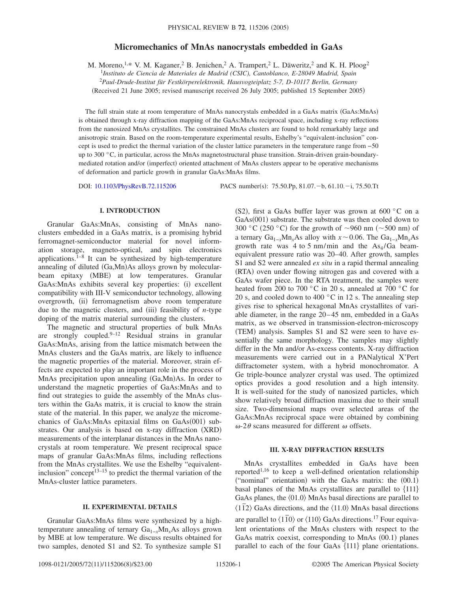# **Micromechanics of MnAs nanocrystals embedded in GaAs**

M. Moreno, <sup>1,\*</sup> V. M. Kaganer, <sup>2</sup> B. Jenichen, <sup>2</sup> A. Trampert, <sup>2</sup> L. Däweritz, <sup>2</sup> and K. H. Ploog<sup>2</sup>

1 *Instituto de Ciencia de Materiales de Madrid (CSIC), Cantoblanco, E-28049 Madrid, Spain*

<sup>2</sup>*Paul-Drude-Institut für Festkörperelektronik, Hausvogteiplatz 5-7, D-10117 Berlin, Germany*

(Received 21 June 2005; revised manuscript received 26 July 2005; published 15 September 2005)

The full strain state at room temperature of MnAs nanocrystals embedded in a GaAs matrix (GaAs:MnAs) is obtained through x-ray diffraction mapping of the GaAs:MnAs reciprocal space, including x-ray reflections from the nanosized MnAs crystallites. The constrained MnAs clusters are found to hold remarkably large and anisotropic strain. Based on the room-temperature experimental results, Eshelby's "equivalent-inclusion" concept is used to predict the thermal variation of the cluster lattice parameters in the temperature range from −50 up to 300 °C, in particular, across the MnAs magnetostructural phase transition. Strain-driven grain-boundarymediated rotation and/or (imperfect) oriented attachment of MnAs clusters appear to be operative mechanisms of deformation and particle growth in granular GaAs:MnAs films.

DOI: [10.1103/PhysRevB.72.115206](http://dx.doi.org/10.1103/PhysRevB.72.115206)

PACS number(s):  $75.50 \text{.}Pp$ ,  $81.07 - b$ ,  $61.10 - i$ ,  $75.50 \text{.}Tt$ 

#### **I. INTRODUCTION**

Granular GaAs:MnAs, consisting of MnAs nanoclusters embedded in a GaAs matrix, is a promising hybrid ferromagnet-semiconductor material for novel information storage, magneto-optical, and spin electronics applications. $1-8$  It can be synthesized by high-temperature annealing of diluted (Ga,Mn)As alloys grown by molecularbeam epitaxy (MBE) at low temperatures. Granular GaAs: MnAs exhibits several key properties: (i) excellent compatibility with III-V semiconductor technology, allowing overgrowth, (ii) ferromagnetism above room temperature due to the magnetic clusters, and (iii) feasibility of *n*-type doping of the matrix material surrounding the clusters.

The magnetic and structural properties of bulk MnAs are strongly coupled. $9-12$  Residual strains in granular GaAs:MnAs, arising from the lattice mismatch between the MnAs clusters and the GaAs matrix, are likely to influence the magnetic properties of the material. Moreover, strain effects are expected to play an important role in the process of MnAs precipitation upon annealing (Ga,Mn)As. In order to understand the magnetic properties of GaAs:MnAs and to find out strategies to guide the assembly of the MnAs clusters within the GaAs matrix, it is crucial to know the strain state of the material. In this paper, we analyze the micromechanics of GaAs: MnAs epitaxial films on GaAs(001) substrates. Our analysis is based on x-ray diffraction (XRD) measurements of the interplanar distances in the MnAs nanocrystals at room temperature. We present reciprocal space maps of granular GaAs:MnAs films, including reflections from the MnAs crystallites. We use the Eshelby "equivalentinclusion" concept<sup>13–15</sup> to predict the thermal variation of the MnAs-cluster lattice parameters.

## **II. EXPERIMENTAL DETAILS**

Granular GaAs:MnAs films were synthesized by a hightemperature annealing of ternary Ga1−*x*Mn*x*As alloys grown by MBE at low temperature. We discuss results obtained for two samples, denoted S1 and S2. To synthesize sample S1

(S2), first a GaAs buffer layer was grown at 600 °C on a GaAs(001) substrate. The substrate was then cooled down to 300 °C (250 °C) for the growth of  $\sim$ 960 nm ( $\sim$ 500 nm) of a ternary  $Ga_{1-x}Mn_rAs$  alloy with  $x \sim 0.06$ . The  $Ga_{1-x}Mn_rAs$ growth rate was 4 to 5 nm/min and the  $As<sub>4</sub>/Ga$  beamequivalent pressure ratio was 20–40. After growth, samples S1 and S2 were annealed *ex situ* in a rapid thermal annealing (RTA) oven under flowing nitrogen gas and covered with a GaAs wafer piece. In the RTA treatment, the samples were heated from 200 to 700 °C in 20 s, annealed at 700 °C for 20 s, and cooled down to 400  $^{\circ}$ C in 12 s. The annealing step gives rise to spherical hexagonal MnAs crystallites of variable diameter, in the range 20–45 nm, embedded in a GaAs matrix, as we observed in transmission-electron-microscopy (TEM) analysis. Samples S1 and S2 were seen to have essentially the same morphology. The samples may slightly differ in the Mn and/or As-excess contents. X-ray diffraction measurements were carried out in a PANalytical X'Pert diffractometer system, with a hybrid monochromator. A Ge triple-bounce analyzer crystal was used. The optimized optics provides a good resolution and a high intensity. It is well-suited for the study of nanosized particles, which show relatively broad diffraction maxima due to their small size. Two-dimensional maps over selected areas of the GaAs:MnAs reciprocal space were obtained by combining  $\omega$ -2 $\theta$  scans measured for different  $\omega$  offsets.

## **III. X-RAY DIFFRACTION RESULTS**

MnAs crystallites embedded in GaAs have been reported<sup>1,16</sup> to keep a well-defined orientation relationship ("nominal" orientation) with the GaAs matrix: the  $(00.1)$ basal planes of the MnAs crystallites are parallel to  $\{111\}$ GaAs planes, the  $\langle 01.0 \rangle$  MnAs basal directions are parallel to  $\langle 1112 \rangle$  GaAs directions, and the  $\langle 11.0 \rangle$  MnAs basal directions are parallel to  $\langle 110 \rangle$  or  $\langle 110 \rangle$  GaAs directions.<sup>17</sup> Four equivalent orientations of the MnAs clusters with respect to the GaAs matrix coexist, corresponding to MnAs (00.1) planes parallel to each of the four GaAs  $\{111\}$  plane orientations.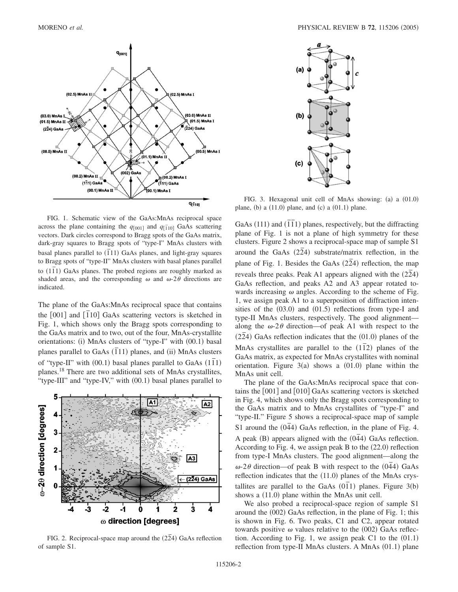

FIG. 1. Schematic view of the GaAs:MnAs reciprocal space across the plane containing the  $q_{[001]}$  and  $q_{[110]}$  GaAs scattering vectors. Dark circles correspond to Bragg spots of the GaAs matrix, dark-gray squares to Bragg spots of "type-I" MnAs clusters with **basal planes parallel to (111)** GaAs planes, and light-gray squares to Bragg spots of "type-II" MnAs clusters with basal planes parallel to 11<sub>75</sub> and 1<sub>175</sub> and 11<sup>1</sup> can be considered the construction probed regions are roughly marked as shaded areas, and the corresponding  $\omega$  and  $\omega$ -2 $\theta$  directions are indicated.

The plane of the GaAs:MnAs reciprocal space that contains the [001] and [1<sup>1</sup>10] GaAs scattering vectors is sketched in Fig. 1, which shows only the Bragg spots corresponding to the GaAs matrix and to two, out of the four, MnAs-crystallite orientations: (i) MnAs clusters of "type-I" with (00.1) basal planes parallel to GaAs  $(\overline{1}11)$  planes, and (ii) MnAs clusters of "type-II" with  $(00.1)$  basal planes parallel to GaAs  $(1\bar{1}1)$ planes.18 There are two additional sets of MnAs crystallites, "type-III" and "type-IV," with (00.1) basal planes parallel to



FIG. 2. Reciprocal-space map around the  $(2\bar{2}4)$  GaAs reflection of sample S1.



FIG. 3. Hexagonal unit cell of MnAs showing: (a) a (01.0) plane, (b) a  $(11.0)$  plane, and  $(c)$  a  $(01.1)$  plane.

GaAs (111) and  $(\overline{111})$  planes, respectively, but the diffracting plane of Fig. 1 is not a plane of high symmetry for these clusters. Figure 2 shows a reciprocal-space map of sample S1  $\frac{1}{2}$  around the GaAs  $(2\overline{2}4)$  substrate/matrix reflection, in the plane of Fig. 1. Besides the GaAs  $(2\overline{2}4)$  reflection, the map reveals three peaks. Peak A1 appears aligned with the  $(2\overline{2}4)$ GaAs reflection, and peaks A2 and A3 appear rotated towards increasing  $\omega$  angles. According to the scheme of Fig. 1, we assign peak A1 to a superposition of diffraction intensities of the  $(03.0)$  and  $(01.5)$  reflections from type-I and type-II MnAs clusters, respectively. The good alignment along the  $\omega$ -2 $\theta$  direction—of peak A1 with respect to the  $(2\overline{2}4)$  GaAs reflection indicates that the  $(01.0)$  planes of the MnAs crystallites are parallel to the  $(1\bar{1}2)$  planes of the GaAs matrix, as expected for MnAs crystallites with nominal orientation. Figure  $3(a)$  shows a  $(01.0)$  plane within the MnAs unit cell.

The plane of the GaAs:MnAs reciprocal space that contains the  $[001]$  and  $[010]$  GaAs scattering vectors is sketched in Fig. 4, which shows only the Bragg spots corresponding to the GaAs matrix and to MnAs crystallites of "type-I" and "type-II." Figure 5 shows a reciprocal-space map of sample S1 around the  $(044)$  GaAs reflection, in the plane of Fig. 4. A peak (B) appears aligned with the  $(044)$  GaAs reflection. According to Fig. 4, we assign peak B to the  $(22.0)$  reflection from type-I MnAs clusters. The good alignment—along the  $\omega$ -2 $\theta$  direction—of peak B with respect to the  $(044)$  GaAs reflection indicates that the  $(11.0)$  planes of the MnAs crystallites are parallel to the GaAs  $(011)$  planes. Figure 3(b) shows a (11.0) plane within the MnAs unit cell.

We also probed a reciprocal-space region of sample S1 around the (002) GaAs reflection, in the plane of Fig. 1; this is shown in Fig. 6. Two peaks, C1 and C2, appear rotated towards positive  $\omega$  values relative to the (002) GaAs reflection. According to Fig. 1, we assign peak C1 to the  $(01.1)$ reflection from type-II MnAs clusters. A MnAs (01.1) plane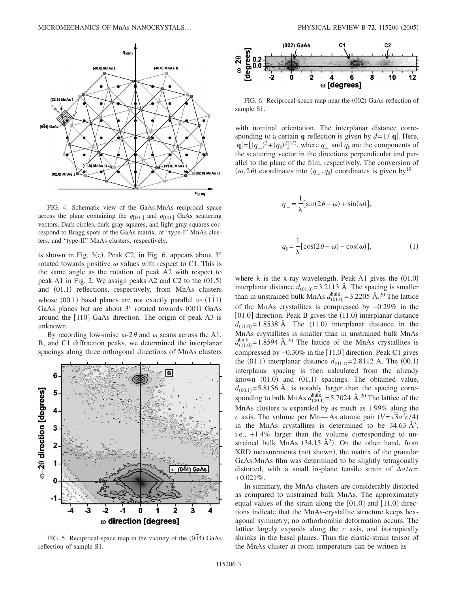

FIG. 4. Schematic view of the GaAs:MnAs reciprocal space across the plane containing the  $q_{001}$  and  $q_{010}$  GaAs scattering vectors. Dark circles, dark-gray squares, and light-gray squares correspond to Bragg spots of the GaAs matrix, of "type-I" MnAs clusters, and "type-II" MnAs clusters, respectively.

is shown in Fig. 3(c). Peak C2, in Fig. 6, appears about  $3^\circ$ rotated towards positive  $\omega$  values with respect to C1. This is the same angle as the rotation of peak A2 with respect to peak A1 in Fig. 2. We assign peaks A2 and C2 to the  $(01.5)$ and (01.1) reflections, respectively, from MnAs clusters whose  $(00.1)$  basal planes are not exactly parallel to  $(1\bar{1}1)$ GaAs planes but are about  $3^\circ$  rotated towards (001) GaAs around the  $[110]$  GaAs direction. The origin of peak A3 is unknown.

By recording low-noise  $\omega$ -2 $\theta$  and  $\omega$  scans across the A1, B, and C1 diffraction peaks, we determined the interplanar spacings along three orthogonal directions of MnAs clusters



FIG. 5. Reciprocal-space map in the vicinity of the  $(0\overline{4}4)$  GaAs reflection of sample S1.



FIG. 6. Reciprocal-space map near the (002) GaAs reflection of sample S1.

with nominal orientation. The interplanar distance corresponding to a certain **q** reflection is given by  $d=1/|\mathbf{q}|$ . Here,  $|{\bf q}| = [(q_{\perp})^2 + (q_{\parallel})^2]^{1/2}$ , where  $q_{\perp}$  and  $q_{\parallel}$  are the components of the scattering vector in the directions perpendicular and parallel to the plane of the film, respectively. The conversion of  $(\omega, 2\theta)$  coordinates into  $(q_{\perp}, q_{\parallel})$  coordinates is given by<sup>19</sup>

$$
q_{\perp} = \frac{1}{\lambda} \left[ \sin(2\theta - \omega) + \sin(\omega) \right],
$$
  

$$
q_{\parallel} = \frac{1}{\lambda} \left[ \cos(2\theta - \omega) - \cos(\omega) \right],
$$
 (1)

where  $\lambda$  is the x-ray wavelength. Peak A1 gives the (01.0) interplanar distance  $d_{(01.0)} = 3.2113$  Å. The spacing is smaller than in unstrained bulk MnAs  $d_{(01.0)}^{\text{bulk}} = 3.2205 \text{ Å}.^{20}$  The lattice of the MnAs crystallites is compressed by −0.29% in the  $[01.0]$  direction. Peak B gives the  $(11.0)$  interplanar distance  $d_{(11.0)} = 1.8538$  Å. The (11.0) interplanar distance in the MnAs crystallites is smaller than in unstrained bulk MnAs  $d_{(11.0)}^{\text{bulk}}$ =1.8594 Å.<sup>20</sup> The lattice of the MnAs crystallites is compressed by  $-0.30\%$  in the [11.0] direction. Peak C1 gives the (01.1) interplanar distance  $d_{(01.1)} = 2.8112 \text{ Å}$ . The (00.1) interplanar spacing is then calculated from the already known (01.0) and (01.1) spacings. The obtained value,  $d_{(00.1)}$ =5.8156 Å, is notably larger than the spacing corresponding to bulk MnAs  $d_{(00.1)}^{\text{bulk}} = 5.7024 \text{ Å}.^{20}$  The lattice of the MnAs clusters is expanded by as much as 1.99% along the *c* axis. The volume per Mn—As atomic pair  $(V = \sqrt{3}a^2c/4)$ in the MnAs crystallites is determined to be  $34.63 \text{ Å}^3$ , i.e., +1.4% larger than the volume corresponding to unstrained bulk MnAs  $(34.15 \text{ Å}^3)$ . On the other hand, from XRD measurements (not shown), the matrix of the granular GaAs:MnAs film was determined to be slightly tetragonally distorted, with a small in-plane tensile strain of  $\Delta a/a=$  $+0.021\%$ .

In summary, the MnAs clusters are considerably distorted as compared to unstrained bulk MnAs. The approximately equal values of the strain along the  $[01.0]$  and  $[11.0]$  directions indicate that the MnAs-crystallite structure keeps hexagonal symmetry; no orthorhombic deformation occurs. The lattice largely expands along the *c* axis, and isotropically shrinks in the basal planes. Thus the elastic-strain tensor of the MnAs cluster at room temperature can be written as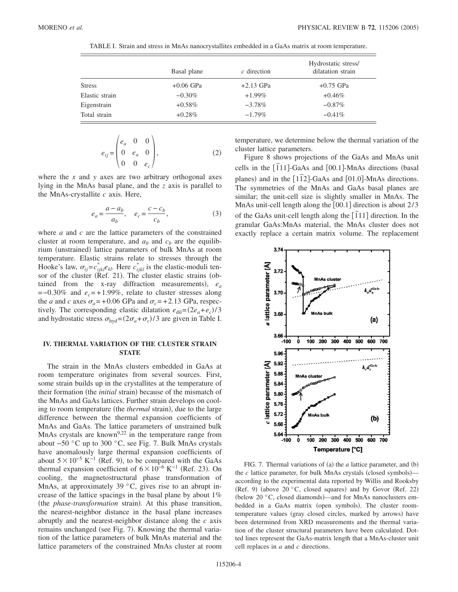|                | Basal plane | $c$ direction | Hydrostatic stress/<br>dilatation strain |
|----------------|-------------|---------------|------------------------------------------|
| <b>Stress</b>  | $+0.06$ GPa | $+2.13$ GPa   | $+0.75$ GPa                              |
| Elastic strain | $-0.30\%$   | $+1.99\%$     | $+0.46\%$                                |
| Eigenstrain    | $+0.58\%$   | $-3.78\%$     | $-0.87\%$                                |
| Total strain   | $+0.28\%$   | $-1.79\%$     | $-0.41\%$                                |

TABLE I. Strain and stress in MnAs nanocrystallites embedded in a GaAs matrix at room temperature.

$$
e_{ij} = \begin{pmatrix} e_a & 0 & 0 \\ 0 & e_a & 0 \\ 0 & 0 & e_c \end{pmatrix},
$$
 (2)

where the *x* and *y* axes are two arbitrary orthogonal axes lying in the MnAs basal plane, and the *z* axis is parallel to the MnAs-crystallite *c* axis. Here,

 $\overline{1}$ 

$$
e_a = \frac{a - a_b}{a_b}, \quad e_c = \frac{c - c_b}{c_b},\tag{3}
$$

where *a* and *c* are the lattice parameters of the constrained cluster at room temperature, and  $a<sub>b</sub>$  and  $c<sub>b</sub>$  are the equilibrium (unstrained) lattice parameters of bulk MnAs at room temperature. Elastic strains relate to stresses through the Hooke's law,  $\sigma_{ij} = c_{ijkl}^* e_{kl}$ . Here  $c_{ijkl}^*$  is the elastic-moduli tensor of the cluster ( $\mathring{R}$ ef. 21). The cluster elastic strains (obtained from the x-ray diffraction measurements),  $e_a$ =−0.30% and *ec*= +1.99%, relate to cluster stresses along the *a* and *c* axes  $\sigma_a$  = +0.06 GPa and  $\sigma_c$  = +2.13 GPa, respectively. The corresponding elastic dilatation  $e_{\text{dil}} = (2e_a + e_c)/3$ and hydrostatic stress  $\sigma_{\text{hyd}} = (2\sigma_a + \sigma_c)/3$  are given in Table I.

## **IV. THERMAL VARIATION OF THE CLUSTER STRAIN STATE**

The strain in the MnAs clusters embedded in GaAs at room temperature originates from several sources. First, some strain builds up in the crystallites at the temperature of their formation (the *initial* strain) because of the mismatch of the MnAs and GaAs lattices. Further strain develops on cooling to room temperature (the *thermal* strain), due to the large difference between the thermal expansion coefficients of MnAs and GaAs. The lattice parameters of unstrained bulk MnAs crystals are known<sup>9,22</sup> in the temperature range from about −50 °C up to 300 °C, see Fig. 7. Bulk MnAs crystals have anomalously large thermal expansion coefficients of about  $5\times10^{-5}$  K<sup>-1</sup> (Ref. 9), to be compared with the GaAs thermal expansion coefficient of  $6 \times 10^{-6}$  K<sup>-1</sup> (Ref. 23). On cooling, the magnetostructural phase transformation of MnAs, at approximately 39  $\degree$ C, gives rise to an abrupt increase of the lattice spacings in the basal plane by about 1% (the *phase-transformation* strain). At this phase transition, the nearest-neighbor distance in the basal plane increases abruptly and the nearest-neighbor distance along the *c* axis remains unchanged (see Fig. 7). Knowing the thermal variation of the lattice parameters of bulk MnAs material and the lattice parameters of the constrained MnAs cluster at room temperature, we determine below the thermal variation of the cluster lattice parameters.

Figure 8 shows projections of the GaAs and MnAs unit cells in the  $[111]$ -GaAs and  $[00.1]$ -MnAs directions (basal planes) and in the  $[1\overline{1}2]$ -GaAs and  $[01.0]$ -MnAs directions. The symmetries of the MnAs and GaAs basal planes are similar; the unit-cell size is slightly smaller in MnAs. The MnAs unit-cell length along the  $[00.1]$  direction is about  $2/3$ <sup>1</sup> of the GaAs unit-cell length along the [ $\overline{1}11$ ] direction. In the granular GaAs:MnAs material, the MnAs cluster does not exactly replace a certain matrix volume. The replacement



FIG. 7. Thermal variations of  $(a)$  the  $a$  lattice parameter, and  $(b)$ the  $c$  lattice parameter, for bulk MnAs crystals (closed symbols) according to the experimental data reported by Willis and Rooksby (Ref. 9) (above 20 $\degree$ C, closed squares) and by Govor (Ref. 22) (below 20 °C, closed diamonds)—and for MnAs nanoclusters embedded in a GaAs matrix (open symbols). The cluster roomtemperature values (gray closed circles, marked by arrows) have been determined from XRD measurements and the thermal variation of the cluster structural parameters have been calculated. Dotted lines represent the GaAs-matrix length that a MnAs-cluster unit cell replaces in *a* and *c* directions.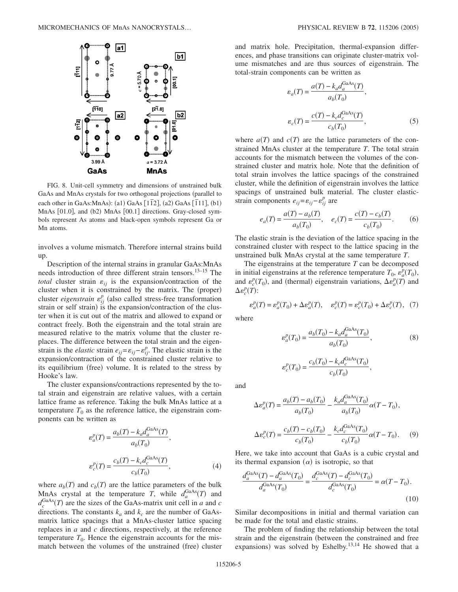

FIG. 8. Unit-cell symmetry and dimensions of unstrained bulk GaAs and MnAs crystals for two orthogonal projections (parallel to each other in GaAs:MnAs): (a1) GaAs  $[1\overline{1}2]$ , (a2) GaAs  $[\overline{1}11]$ , (b1) MnAs [01.0], and (b2) MnAs [00.1] directions. Gray-closed symbols represent As atoms and black-open symbols represent Ga or Mn atoms.

involves a volume mismatch. Therefore internal strains build up.

Description of the internal strains in granular GaAs:MnAs needs introduction of three different strain tensors.13–15 The *total* cluster strain  $\varepsilon_{ij}$  is the expansion/contraction of the cluster when it is constrained by the matrix. The (proper) cluster *eigenstrain*  $\varepsilon_{ij}^p$  (also called stress-free transformation strain or self strain) is the expansion/contraction of the cluster when it is cut out of the matrix and allowed to expand or contract freely. Both the eigenstrain and the total strain are measured relative to the matrix volume that the cluster replaces. The difference between the total strain and the eigenstrain is the *elastic* strain  $e_{ij} = \varepsilon_{ij} - \varepsilon_{ij}^p$ . The elastic strain is the expansion/contraction of the constrained cluster relative to its equilibrium (free) volume. It is related to the stress by Hooke's law.

The cluster expansions/contractions represented by the total strain and eigenstrain are relative values, with a certain lattice frame as reference. Taking the bulk MnAs lattice at a temperature  $T_0$  as the reference lattice, the eigenstrain components can be written as

$$
\varepsilon_a^p(T) = \frac{a_b(T) - k_a d_a^{\text{GaAs}}(T)}{a_b(T_0)},
$$
  
\n
$$
\varepsilon_c^p(T) = \frac{c_b(T) - k_c d_c^{\text{GaAs}}(T)}{c_b(T_0)},
$$
\n(4)

where  $a_b(T)$  and  $c_b(T)$  are the lattice parameters of the bulk MnAs crystal at the temperature *T*, while  $d_a^{\text{GaAs}}(T)$  and  $d_c^{\text{GaAs}}(T)$  are the sizes of the GaAs-matrix unit cell in *a* and *c* directions. The constants  $k_a$  and  $k_c$  are the number of GaAsmatrix lattice spacings that a MnAs-cluster lattice spacing replaces in *a* and *c* directions, respectively, at the reference temperature  $T_0$ . Hence the eigenstrain accounts for the mismatch between the volumes of the unstrained (free) cluster

and matrix hole. Precipitation, thermal-expansion differences, and phase transitions can originate cluster-matrix volume mismatches and are thus sources of eigenstrain. The total-strain components can be written as

$$
\varepsilon_a(T) = \frac{a(T) - k_a d_a^{\text{GaAs}}(T)}{a_b(T_0)},
$$
  

$$
\varepsilon_c(T) = \frac{c(T) - k_c d_c^{\text{GaAs}}(T)}{c_b(T_0)},
$$
 (5)

where  $a(T)$  and  $c(T)$  are the lattice parameters of the constrained MnAs cluster at the temperature *T*. The total strain accounts for the mismatch between the volumes of the constrained cluster and matrix hole. Note that the definition of total strain involves the lattice spacings of the constrained cluster, while the definition of eigenstrain involves the lattice spacings of unstrained bulk material. The cluster elasticstrain components  $e_{ij} = \varepsilon_{ij} - \varepsilon_{ij}^p$  are

$$
e_a(T) = \frac{a(T) - a_b(T)}{a_b(T_0)}, \quad e_c(T) = \frac{c(T) - c_b(T)}{c_b(T_0)}.
$$
 (6)

The elastic strain is the deviation of the lattice spacing in the constrained cluster with respect to the lattice spacing in the unstrained bulk MnAs crystal at the same temperature *T*.

The eigenstrains at the temperature *T* can be decomposed in initial eigenstrains at the reference temperature  $T_0$ ,  $\epsilon_a^p(T_0)$ , and  $\varepsilon_c^p(T_0)$ , and (thermal) eigenstrain variations,  $\Delta \varepsilon_a^p(\overline{T})$  and  $\Delta\varepsilon_c^p(T)$ :

$$
\varepsilon_a^p(T) = \varepsilon_a^p(T_0) + \Delta \varepsilon_a^p(T), \quad \varepsilon_c^p(T) = \varepsilon_c^p(T_0) + \Delta \varepsilon_c^p(T), \tag{7}
$$

where

$$
\varepsilon_a^p(T_0) = \frac{a_b(T_0) - k_a d_a^{\text{GaAs}}(T_0)}{a_b(T_0)},
$$
\n(8)

$$
\varepsilon_c^p(T_0) = \frac{c_b(T_0) - k_c d_c^{\text{GaAs}}(T_0)}{c_b(T_0)},
$$

and

$$
\Delta \varepsilon_a^p(T) = \frac{a_b(T) - a_b(T_0)}{a_b(T_0)} - \frac{k_a d_a^{\text{GaAs}}(T_0)}{a_b(T_0)} \alpha(T - T_0),
$$
  

$$
\Delta \varepsilon_c^p(T) = \frac{c_b(T) - c_b(T_0)}{c_b(T_0)} - \frac{k_c d_c^{\text{GaAs}}(T_0)}{c_b(T_0)} \alpha(T - T_0).
$$
 (9)

Here, we take into account that GaAs is a cubic crystal and its thermal expansion  $(\alpha)$  is isotropic, so that

$$
\frac{d_a^{\text{GaAs}}(T) - d_a^{\text{GaAs}}(T_0)}{d_a^{\text{GaAs}}(T_0)} = \frac{d_c^{\text{GaAs}}(T) - d_c^{\text{GaAs}}(T_0)}{d_c^{\text{GaAs}}(T_0)} = \alpha(T - T_0). \tag{10}
$$

Similar decompositions in initial and thermal variation can be made for the total and elastic strains.

The problem of finding the relationship between the total strain and the eigenstrain (between the constrained and free expansions) was solved by Eshelby.<sup>13,14</sup> He showed that a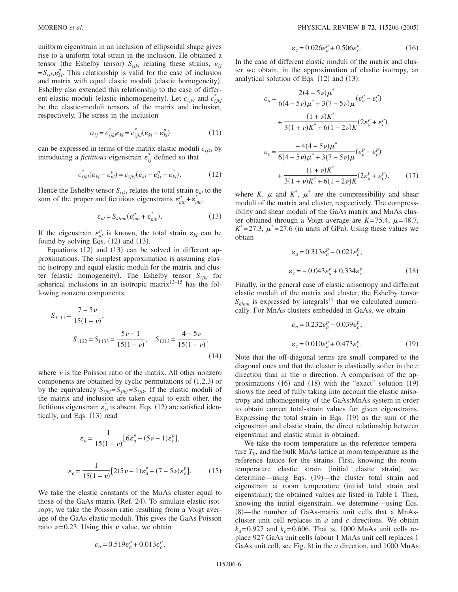uniform eigenstrain in an inclusion of ellipsoidal shape gives rise to a uniform total strain in the inclusion. He obtained a tensor (the Eshelby tensor)  $S_{ijkl}$  relating these strains,  $\varepsilon_{ij}$  $=S_{ijkl}e_{kl}^p$ . This relationship is valid for the case of inclusion and matrix with equal elastic moduli (elastic homogeneity). Eshelby also extended this relationship to the case of different elastic moduli (elastic inhomogeneity). Let  $c_{ijkl}$  and  $c_{ijkl}^*$ be the elastic-moduli tensors of the matrix and inclusion, respectively. The stress in the inclusion

$$
\sigma_{ij} = c_{ijkl}^* e_{kl} = c_{ijkl}^* (\varepsilon_{kl} - \varepsilon_{kl}^p)
$$
 (11)

can be expressed in terms of the matrix elastic moduli *cijkl* by introducing a *fictitious* eigenstrain  $\epsilon_{ij}^*$  defined so that

$$
c_{ijkl}^*(\varepsilon_{kl} - \varepsilon_{kl}^p) = c_{ijkl}(\varepsilon_{kl} - \varepsilon_{kl}^p - \varepsilon_{kl}^*).
$$
 (12)

Hence the Eshelby tensor  $S_{ijkl}$  relates the total strain  $\varepsilon_{kl}$  to the sum of the proper and fictitious eigenstrains  $\varepsilon_{mn}^p + \varepsilon_{mn}^*$ ,

$$
\varepsilon_{kl} = S_{klmn} (\varepsilon_{mn}^p + \varepsilon_{mn}^*).
$$
 (13)

If the eigenstrain  $\varepsilon_{kl}^p$  is known, the total strain  $\varepsilon_{kl}$  can be found by solving Eqs.  $(12)$  and  $(13)$ .

Equations  $(12)$  and  $(13)$  can be solved in different approximations. The simplest approximation is assuming elastic isotropy and equal elastic moduli for the matrix and cluster (elastic homogeneity). The Eshelby tensor  $S_{ijkl}$  for spherical inclusions in an isotropic matrix $13-15$  has the following nonzero components:

$$
S_{1111} = \frac{7 - 5\nu}{15(1 - \nu)},
$$
  
\n
$$
S_{1122} = S_{1133} = \frac{5\nu - 1}{15(1 - \nu)}, \quad S_{1212} = \frac{4 - 5\nu}{15(1 - \nu)},
$$
\n(14)

where  $\nu$  is the Poisson ratio of the matrix. All other nonzero components are obtained by cyclic permutations of  $(1,2,3)$  or by the equivalency  $S_{ijkl} = S_{jik} = S_{ijkl}$ . If the elastic moduli of the matrix and inclusion are taken equal to each other, the fictitious eigenstrain  $\varepsilon_{ij}^*$  is absent, Eqs. (12) are satisfied identically, and Eqs. (13) read

$$
\varepsilon_a = \frac{1}{15(1-\nu)} [6\varepsilon_a^p + (5\nu - 1)\varepsilon_c^p],
$$
  

$$
\varepsilon_c = \frac{1}{15(1-\nu)} [2(5\nu - 1)\varepsilon_a^p + (7 - 5\nu)\varepsilon_c^p].
$$
 (15)

We take the elastic constants of the MnAs cluster equal to those of the GaAs matrix (Ref. 24). To simulate elastic isotropy, we take the Poisson ratio resulting from a Voigt average of the GaAs elastic moduli. This gives the GaAs Poisson ratio  $\nu$ =0.23. Using this  $\nu$  value, we obtain

$$
\varepsilon_a = 0.519 \varepsilon_a^p + 0.013 \varepsilon_c^p,
$$

$$
\varepsilon_c = 0.026 \varepsilon_a^p + 0.506 \varepsilon_c^p. \tag{16}
$$

In the case of different elastic moduli of the matrix and cluster we obtain, in the approximation of elastic isotropy, an analytical solution of Eqs.  $(12)$  and  $(13)$ :

$$
\varepsilon_{a} = \frac{2(4-5\nu)\mu^{*}}{6(4-5\nu)\mu^{*} + 3(7-5\nu)\mu} (\varepsilon_{a}^{p} - \varepsilon_{c}^{p})
$$
  
+ 
$$
\frac{(1+\nu)K^{*}}{3(1+\nu)K^{*} + 6(1-2\nu)K}(2\varepsilon_{a}^{p} + \varepsilon_{c}^{p}),
$$
  

$$
\varepsilon_{c} = \frac{-4(4-5\nu)\mu^{*}}{6(4-5\nu)\mu^{*} + 3(7-5\nu)\mu} (\varepsilon_{a}^{p} - \varepsilon_{c}^{p})
$$
  
+ 
$$
\frac{(1+\nu)K^{*}}{3(1+\nu)K^{*} + 6(1-2\nu)K}(2\varepsilon_{a}^{p} + \varepsilon_{c}^{p}), \qquad (17)
$$

where *K*,  $\mu$  and *K*<sup>\*</sup>,  $\mu$ <sup>\*</sup> are the compressibility and shear moduli of the matrix and cluster, respectively. The compressibility and shear moduli of the GaAs matrix and MnAs cluster obtained through a Voigt average are  $K=75.4$ ,  $\mu=48.7$ ,  $K^*$ =27.3,  $\mu^*$ =27.6 (in units of GPa). Using these values we obtain

$$
\varepsilon_a = 0.313 \varepsilon_a^p - 0.021 \varepsilon_c^p,
$$
  

$$
\varepsilon_c = -0.043 \varepsilon_a^p + 0.334 \varepsilon_c^p.
$$
 (18)

Finally, in the general case of elastic anisotropy and different elastic moduli of the matrix and cluster, the Eshelby tensor  $S_{klmn}$  is expressed by integrals<sup>15</sup> that we calculated numerically. For MnAs clusters embedded in GaAs, we obtain

$$
\varepsilon_a = 0.232 \varepsilon_a^p - 0.039 \varepsilon_c^p,
$$
  

$$
\varepsilon_c = 0.010 \varepsilon_a^p + 0.473 \varepsilon_c^p.
$$
 (19)

Note that the off-diagonal terms are small compared to the diagonal ones and that the cluster is elastically softer in the *c* direction than in the *a* direction. A comparison of the approximations (16) and (18) with the "exact" solution (19) shows the need of fully taking into account the elastic anisotropy and inhomogeneity of the GaAs:MnAs system in order to obtain correct total-strain values for given eigenstrains. Expressing the total strain in Eqs.  $(19)$  as the sum of the eigenstrain and elastic strain, the direct relationship between eigenstrain and elastic strain is obtained.

We take the room temperature as the reference temperature  $T_0$ , and the bulk MnAs lattice at room temperature as the reference lattice for the strains. First, knowing the roomtemperature elastic strain (initial elastic strain), we determine—using Eqs. (19)—the cluster total strain and eigenstrain at room temperature (initial total strain and eigenstrain); the obtained values are listed in Table I. Then, knowing the initial eigenstrain, we determine—using Eqs. (8)-the number of GaAs-matrix unit cells that a MnAscluster unit cell replaces in *a* and *c* directions. We obtain  $k_a$ =0.927 and  $k_c$ =0.606. That is, 1000 MnAs unit cells replace 927 GaAs unit cells (about 1 MnAs unit cell replaces 1 GaAs unit cell, see Fig. 8) in the *a* direction, and 1000 MnAs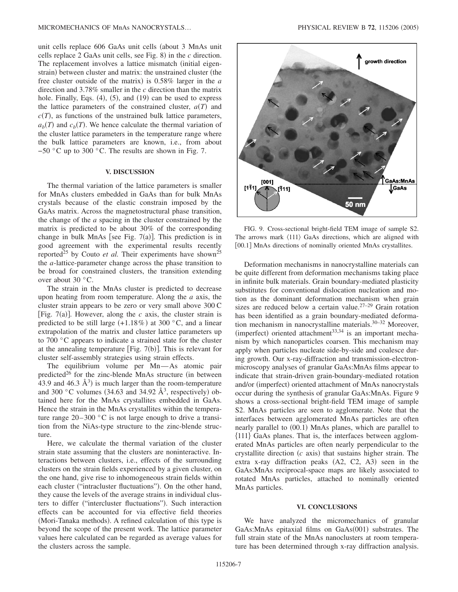unit cells replace 606 GaAs unit cells (about 3 MnAs unit cells replace 2 GaAs unit cells, see Fig. 8) in the *c* direction. The replacement involves a lattice mismatch (initial eigenstrain) between cluster and matrix: the unstrained cluster (the free cluster outside of the matrix) is 0.58% larger in the *a* direction and 3.78% smaller in the *c* direction than the matrix hole. Finally, Eqs.  $(4)$ ,  $(5)$ , and  $(19)$  can be used to express the lattice parameters of the constrained cluster,  $a(T)$  and  $c(T)$ , as functions of the unstrained bulk lattice parameters,  $a_b(T)$  and  $c_b(T)$ . We hence calculate the thermal variation of the cluster lattice parameters in the temperature range where the bulk lattice parameters are known, i.e., from about −50 °C up to 300 °C. The results are shown in Fig. 7.

## **V. DISCUSSION**

The thermal variation of the lattice parameters is smaller for MnAs clusters embedded in GaAs than for bulk MnAs crystals because of the elastic constrain imposed by the GaAs matrix. Across the magnetostructural phase transition, the change of the *a* spacing in the cluster constrained by the matrix is predicted to be about 30% of the corresponding change in bulk MnAs [see Fig.  $7(a)$ ]. This prediction is in good agreement with the experimental results recently reported<sup>25</sup> by Couto *et al.* Their experiments have shown<sup>25</sup> the *a*-lattice-parameter change across the phase transition to be broad for constrained clusters, the transition extending over about 30 °C.

The strain in the MnAs cluster is predicted to decrease upon heating from room temperature. Along the *a* axis, the cluster strain appears to be zero or very small above 300 C [Fig.  $7(a)$ ]. However, along the *c* axis, the cluster strain is predicted to be still large  $(+1.18\%)$  at 300 °C, and a linear extrapolation of the matrix and cluster lattice parameters up to 700 °C appears to indicate a strained state for the cluster at the annealing temperature [Fig. 7(b)]. This is relevant for cluster self-assembly strategies using strain effects.

The equilibrium volume per Mn-As atomic pair predicted<sup>26</sup> for the zinc-blende MnAs structure (in between 43.9 and 46.3  $\AA$ <sup>3</sup>) is much larger than the room-temperature and 300 °C volumes (34.63 and 34.92  $\AA$ <sup>3</sup>, respectively) obtained here for the MnAs crystallites embedded in GaAs. Hence the strain in the MnAs crystallites within the temperature range  $20-300$  °C is not large enough to drive a transition from the NiAs-type structure to the zinc-blende structure.

Here, we calculate the thermal variation of the cluster strain state assuming that the clusters are noninteractive. Interactions between clusters, i.e., effects of the surrounding clusters on the strain fields experienced by a given cluster, on the one hand, give rise to inhomogeneous strain fields within each cluster ("intracluster fluctuations"). On the other hand, they cause the levels of the average strains in individual clusters to differ ("intercluster fluctuations"). Such interaction effects can be accounted for via effective field theories (Mori-Tanaka methods). A refined calculation of this type is beyond the scope of the present work. The lattice parameter values here calculated can be regarded as average values for the clusters across the sample.



FIG. 9. Cross-sectional bright-field TEM image of sample S2. The arrows mark  $\langle 111 \rangle$  GaAs directions, which are aligned with [00.1] MnAs directions of nominally oriented MnAs crystallites.

Deformation mechanisms in nanocrystalline materials can be quite different from deformation mechanisms taking place in infinite bulk materials. Grain boundary-mediated plasticity substitutes for conventional dislocation nucleation and motion as the dominant deformation mechanism when grain sizes are reduced below a certain value.<sup>27-29</sup> Grain rotation has been identified as a grain boundary-mediated deformation mechanism in nanocrystalline materials.<sup>30–32</sup> Moreover, (imperfect) oriented attachment $33,34$  is an important mechanism by which nanoparticles coarsen. This mechanism may apply when particles nucleate side-by-side and coalesce during growth. Our x-ray-diffraction and transmission-electronmicroscopy analyses of granular GaAs:MnAs films appear to indicate that strain-driven grain-boundary-mediated rotation and/or (imperfect) oriented attachment of MnAs nanocrystals occur during the synthesis of granular GaAs:MnAs. Figure 9 shows a cross-sectional bright-field TEM image of sample S2. MnAs particles are seen to agglomerate. Note that the interfaces between agglomerated MnAs particles are often nearly parallel to (00.1) MnAs planes, which are parallel to 111 GaAs planes. That is, the interfaces between agglomerated MnAs particles are often nearly perpendicular to the crystallite direction  $(c \text{ axis})$  that sustains higher strain. The extra x-ray diffraction peaks (A2, C2, A3) seen in the GaAs:MnAs reciprocal-space maps are likely associated to rotated MnAs particles, attached to nominally oriented MnAs particles.

#### **VI. CONCLUSIONS**

We have analyzed the micromechanics of granular GaAs: MnAs epitaxial films on GaAs(001) substrates. The full strain state of the MnAs nanoclusters at room temperature has been determined through x-ray diffraction analysis.